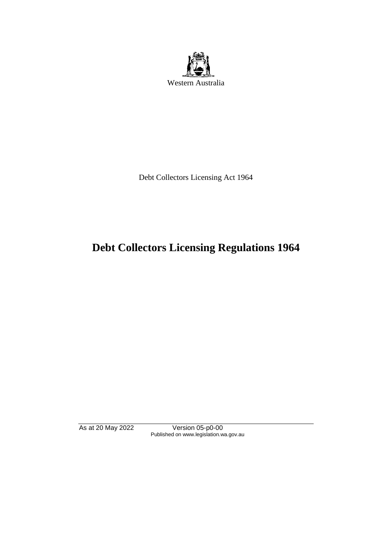

Debt Collectors Licensing Act 1964

# **Debt Collectors Licensing Regulations 1964**

As at 20 May 2022 Version 05-p0-00 Published on www.legislation.wa.gov.au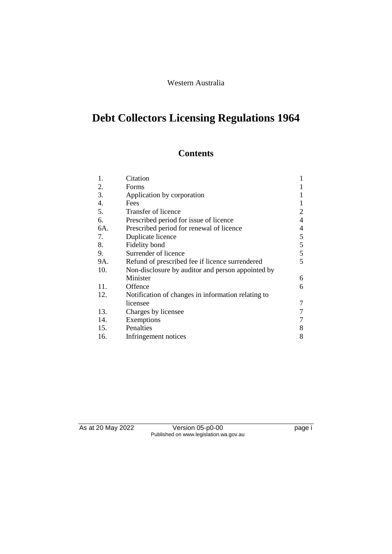## Western Australia

# **Debt Collectors Licensing Regulations 1964**

## **Contents**

| 1.  | Citation                                           |   |
|-----|----------------------------------------------------|---|
| 2.  | Forms                                              | 1 |
| 3.  | Application by corporation                         |   |
| 4.  | Fees                                               | 1 |
| 5.  | Transfer of licence                                | 2 |
| 6.  | Prescribed period for issue of licence             | 4 |
| 6A. | Prescribed period for renewal of licence           | 4 |
| 7.  | Duplicate licence                                  | 5 |
| 8.  | Fidelity bond                                      | 5 |
| 9.  | Surrender of licence                               | 5 |
| 9A. | Refund of prescribed fee if licence surrendered    | 5 |
| 10. | Non-disclosure by auditor and person appointed by  |   |
|     | Minister                                           | 6 |
| 11. | Offence                                            | 6 |
| 12. | Notification of changes in information relating to |   |
|     | licensee                                           | 7 |
| 13. | Charges by licensee                                |   |
| 14. | Exemptions                                         |   |
| 15. | Penalties                                          | 8 |
| 16. | Infringement notices                               | 8 |

As at 20 May 2022 Version 05-p0-00 page i Published on www.legislation.wa.gov.au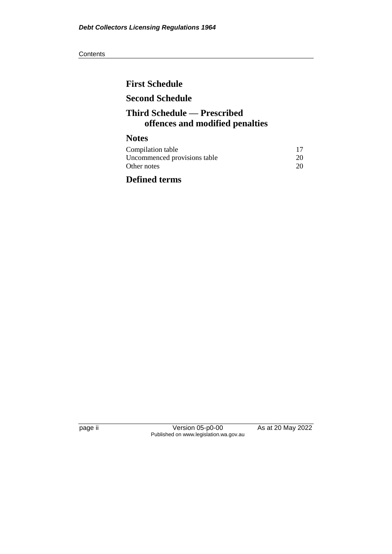#### **Contents**

# **First Schedule Second Schedule Third Schedule — Prescribed offences and modified penalties Notes**

| Compilation table            |    |
|------------------------------|----|
| Uncommenced provisions table | 20 |
| Other notes                  | 20 |

# **Defined terms**

page ii Version 05-p0-00 As at 20 May 2022 Published on www.legislation.wa.gov.au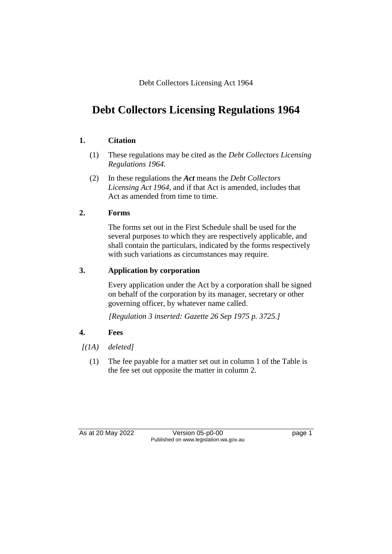Debt Collectors Licensing Act 1964

# **Debt Collectors Licensing Regulations 1964**

## **1. Citation**

- (1) These regulations may be cited as the *Debt Collectors Licensing Regulations 1964*.
- (2) In these regulations the *Act* means the *Debt Collectors Licensing Act 1964*, and if that Act is amended, includes that Act as amended from time to time.

## **2. Forms**

The forms set out in the First Schedule shall be used for the several purposes to which they are respectively applicable, and shall contain the particulars, indicated by the forms respectively with such variations as circumstances may require.

## **3. Application by corporation**

Every application under the Act by a corporation shall be signed on behalf of the corporation by its manager, secretary or other governing officer, by whatever name called.

*[Regulation 3 inserted: Gazette 26 Sep 1975 p. 3725.]*

## **4. Fees**

- *[(1A) deleted]*
	- (1) The fee payable for a matter set out in column 1 of the Table is the fee set out opposite the matter in column 2.

As at 20 May 2022 Version 05-p0-00 Page 1 Published on www.legislation.wa.gov.au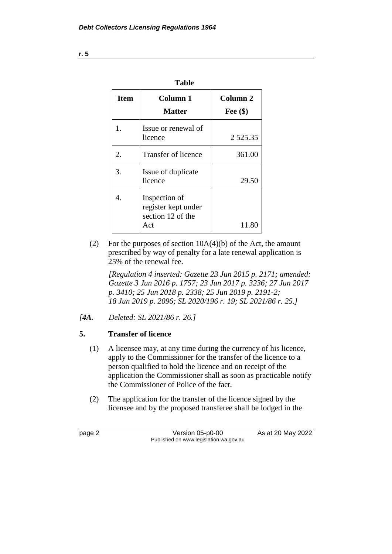| וחו<br>d |
|----------|
|----------|

| <b>Item</b> | Column 1<br><b>Matter</b>                                        | Column <sub>2</sub><br>Fee $(\$)$ |
|-------------|------------------------------------------------------------------|-----------------------------------|
| 1.          | Issue or renewal of<br>licence                                   | 2 5 2 5 .3 5                      |
| 2.          | Transfer of licence                                              | 361.00                            |
| 3.          | Issue of duplicate<br>licence                                    | 29.50                             |
| 4.          | Inspection of<br>register kept under<br>section 12 of the<br>Act | 11.80                             |

(2) For the purposes of section  $10A(4)(b)$  of the Act, the amount prescribed by way of penalty for a late renewal application is 25% of the renewal fee.

*[Regulation 4 inserted: Gazette 23 Jun 2015 p. 2171; amended: Gazette 3 Jun 2016 p. 1757; 23 Jun 2017 p. 3236; 27 Jun 2017 p. 3410; 25 Jun 2018 p. 2338; 25 Jun 2019 p. 2191-2; 18 Jun 2019 p. 2096; SL 2020/196 r. 19; SL 2021/86 r. 25.]*

*[4A. Deleted: SL 2021/86 r. 26.]*

## **5. Transfer of licence**

- (1) A licensee may, at any time during the currency of his licence, apply to the Commissioner for the transfer of the licence to a person qualified to hold the licence and on receipt of the application the Commissioner shall as soon as practicable notify the Commissioner of Police of the fact.
- (2) The application for the transfer of the licence signed by the licensee and by the proposed transferee shall be lodged in the

page 2 Version 05-p0-00 As at 20 May 2022 Published on www.legislation.wa.gov.au

**r. 5**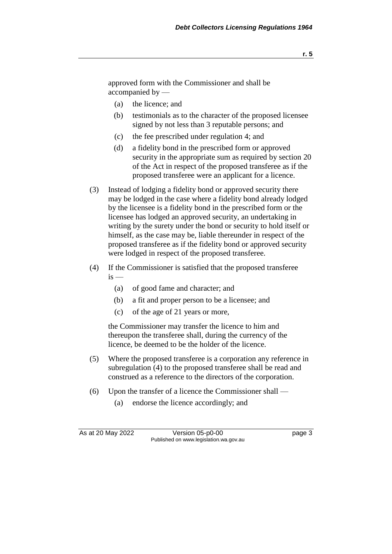approved form with the Commissioner and shall be accompanied by —

- (a) the licence; and
- (b) testimonials as to the character of the proposed licensee signed by not less than 3 reputable persons; and
- (c) the fee prescribed under regulation 4; and
- (d) a fidelity bond in the prescribed form or approved security in the appropriate sum as required by section 20 of the Act in respect of the proposed transferee as if the proposed transferee were an applicant for a licence.
- (3) Instead of lodging a fidelity bond or approved security there may be lodged in the case where a fidelity bond already lodged by the licensee is a fidelity bond in the prescribed form or the licensee has lodged an approved security, an undertaking in writing by the surety under the bond or security to hold itself or himself, as the case may be, liable thereunder in respect of the proposed transferee as if the fidelity bond or approved security were lodged in respect of the proposed transferee.
- (4) If the Commissioner is satisfied that the proposed transferee  $is$  —
	- (a) of good fame and character; and
	- (b) a fit and proper person to be a licensee; and
	- (c) of the age of 21 years or more,

the Commissioner may transfer the licence to him and thereupon the transferee shall, during the currency of the licence, be deemed to be the holder of the licence.

- (5) Where the proposed transferee is a corporation any reference in subregulation (4) to the proposed transferee shall be read and construed as a reference to the directors of the corporation.
- (6) Upon the transfer of a licence the Commissioner shall
	- (a) endorse the licence accordingly; and

As at 20 May 2022 Version 05-p0-00 Page 3 Published on www.legislation.wa.gov.au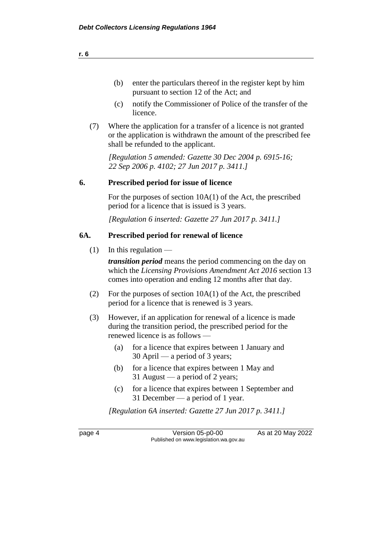- (b) enter the particulars thereof in the register kept by him pursuant to section 12 of the Act; and
- (c) notify the Commissioner of Police of the transfer of the licence.
- (7) Where the application for a transfer of a licence is not granted or the application is withdrawn the amount of the prescribed fee shall be refunded to the applicant.

*[Regulation 5 amended: Gazette 30 Dec 2004 p. 6915-16; 22 Sep 2006 p. 4102; 27 Jun 2017 p. 3411.]*

#### **6. Prescribed period for issue of licence**

For the purposes of section 10A(1) of the Act, the prescribed period for a licence that is issued is 3 years.

*[Regulation 6 inserted: Gazette 27 Jun 2017 p. 3411.]*

#### **6A. Prescribed period for renewal of licence**

 $(1)$  In this regulation —

*transition period* means the period commencing on the day on which the *Licensing Provisions Amendment Act 2016* section 13 comes into operation and ending 12 months after that day.

- (2) For the purposes of section 10A(1) of the Act, the prescribed period for a licence that is renewed is 3 years.
- (3) However, if an application for renewal of a licence is made during the transition period, the prescribed period for the renewed licence is as follows —
	- (a) for a licence that expires between 1 January and 30 April — a period of 3 years;
	- (b) for a licence that expires between 1 May and 31 August — a period of 2 years;
	- (c) for a licence that expires between 1 September and 31 December — a period of 1 year.

*[Regulation 6A inserted: Gazette 27 Jun 2017 p. 3411.]*

page 4 Version 05-p0-00 As at 20 May 2022 Published on www.legislation.wa.gov.au

**r. 6**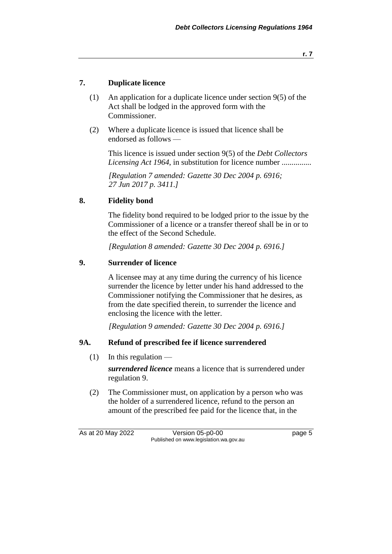#### **r. 7**

### **7. Duplicate licence**

- (1) An application for a duplicate licence under section 9(5) of the Act shall be lodged in the approved form with the Commissioner.
- (2) Where a duplicate licence is issued that licence shall be endorsed as follows —

This licence is issued under section 9(5) of the *Debt Collectors Licensing Act 1964*, in substitution for licence number ...............

*[Regulation 7 amended: Gazette 30 Dec 2004 p. 6916; 27 Jun 2017 p. 3411.]*

## **8. Fidelity bond**

The fidelity bond required to be lodged prior to the issue by the Commissioner of a licence or a transfer thereof shall be in or to the effect of the Second Schedule.

*[Regulation 8 amended: Gazette 30 Dec 2004 p. 6916.]*

#### **9. Surrender of licence**

A licensee may at any time during the currency of his licence surrender the licence by letter under his hand addressed to the Commissioner notifying the Commissioner that he desires, as from the date specified therein, to surrender the licence and enclosing the licence with the letter.

*[Regulation 9 amended: Gazette 30 Dec 2004 p. 6916.]*

#### **9A. Refund of prescribed fee if licence surrendered**

 $(1)$  In this regulation —

*surrendered licence* means a licence that is surrendered under regulation 9.

(2) The Commissioner must, on application by a person who was the holder of a surrendered licence, refund to the person an amount of the prescribed fee paid for the licence that, in the

As at 20 May 2022 Version 05-p0-00 Page 5 Published on www.legislation.wa.gov.au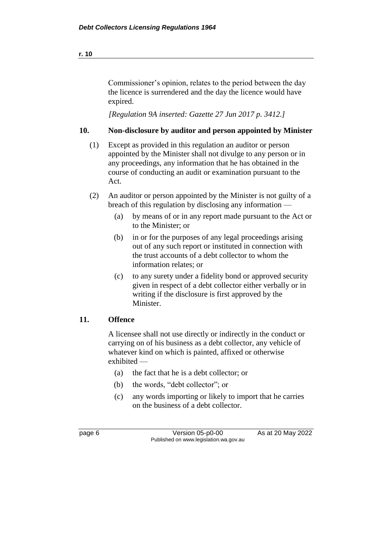Commissioner's opinion, relates to the period between the day the licence is surrendered and the day the licence would have expired.

*[Regulation 9A inserted: Gazette 27 Jun 2017 p. 3412.]*

### **10. Non-disclosure by auditor and person appointed by Minister**

- (1) Except as provided in this regulation an auditor or person appointed by the Minister shall not divulge to any person or in any proceedings, any information that he has obtained in the course of conducting an audit or examination pursuant to the Act.
- (2) An auditor or person appointed by the Minister is not guilty of a breach of this regulation by disclosing any information —
	- (a) by means of or in any report made pursuant to the Act or to the Minister; or
	- (b) in or for the purposes of any legal proceedings arising out of any such report or instituted in connection with the trust accounts of a debt collector to whom the information relates; or
	- (c) to any surety under a fidelity bond or approved security given in respect of a debt collector either verbally or in writing if the disclosure is first approved by the Minister.

#### **11. Offence**

A licensee shall not use directly or indirectly in the conduct or carrying on of his business as a debt collector, any vehicle of whatever kind on which is painted, affixed or otherwise exhibited —

- (a) the fact that he is a debt collector; or
- (b) the words, "debt collector"; or
- (c) any words importing or likely to import that he carries on the business of a debt collector.

page 6 Version 05-p0-00 As at 20 May 2022 Published on www.legislation.wa.gov.au

**r. 10**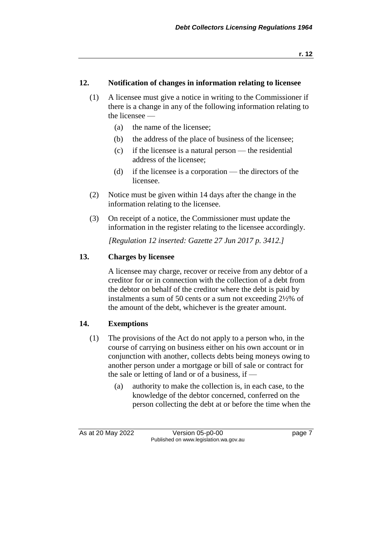#### **12. Notification of changes in information relating to licensee**

- (1) A licensee must give a notice in writing to the Commissioner if there is a change in any of the following information relating to the licensee —
	- (a) the name of the licensee;
	- (b) the address of the place of business of the licensee;
	- (c) if the licensee is a natural person the residential address of the licensee;
	- (d) if the licensee is a corporation the directors of the licensee.
- (2) Notice must be given within 14 days after the change in the information relating to the licensee.
- (3) On receipt of a notice, the Commissioner must update the information in the register relating to the licensee accordingly.

*[Regulation 12 inserted: Gazette 27 Jun 2017 p. 3412.]*

## **13. Charges by licensee**

A licensee may charge, recover or receive from any debtor of a creditor for or in connection with the collection of a debt from the debtor on behalf of the creditor where the debt is paid by instalments a sum of 50 cents or a sum not exceeding 2½% of the amount of the debt, whichever is the greater amount.

## **14. Exemptions**

- (1) The provisions of the Act do not apply to a person who, in the course of carrying on business either on his own account or in conjunction with another, collects debts being moneys owing to another person under a mortgage or bill of sale or contract for the sale or letting of land or of a business, if —
	- (a) authority to make the collection is, in each case, to the knowledge of the debtor concerned, conferred on the person collecting the debt at or before the time when the

As at 20 May 2022 Version 05-p0-00 Page 7 Published on www.legislation.wa.gov.au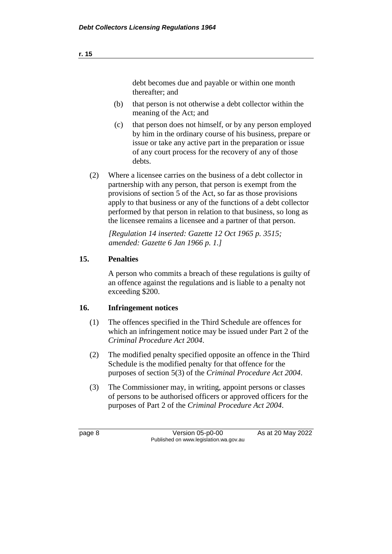debt becomes due and payable or within one month thereafter; and

- (b) that person is not otherwise a debt collector within the meaning of the Act; and
- (c) that person does not himself, or by any person employed by him in the ordinary course of his business, prepare or issue or take any active part in the preparation or issue of any court process for the recovery of any of those debts.
- (2) Where a licensee carries on the business of a debt collector in partnership with any person, that person is exempt from the provisions of section 5 of the Act, so far as those provisions apply to that business or any of the functions of a debt collector performed by that person in relation to that business, so long as the licensee remains a licensee and a partner of that person.

*[Regulation 14 inserted: Gazette 12 Oct 1965 p. 3515; amended: Gazette 6 Jan 1966 p. 1.]*

## **15. Penalties**

A person who commits a breach of these regulations is guilty of an offence against the regulations and is liable to a penalty not exceeding \$200.

## **16. Infringement notices**

- (1) The offences specified in the Third Schedule are offences for which an infringement notice may be issued under Part 2 of the *Criminal Procedure Act 2004*.
- (2) The modified penalty specified opposite an offence in the Third Schedule is the modified penalty for that offence for the purposes of section 5(3) of the *Criminal Procedure Act 2004*.
- (3) The Commissioner may, in writing, appoint persons or classes of persons to be authorised officers or approved officers for the purposes of Part 2 of the *Criminal Procedure Act 2004*.

page 8 Version 05-p0-00 As at 20 May 2022 Published on www.legislation.wa.gov.au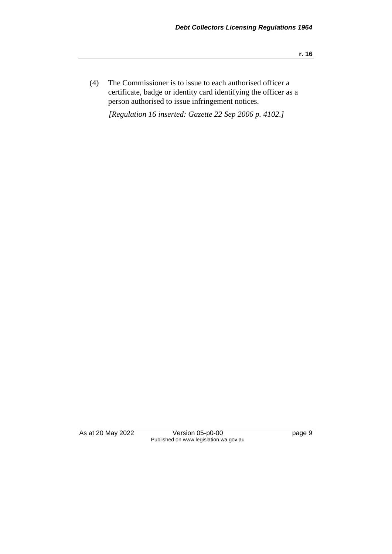(4) The Commissioner is to issue to each authorised officer a certificate, badge or identity card identifying the officer as a person authorised to issue infringement notices.

*[Regulation 16 inserted: Gazette 22 Sep 2006 p. 4102.]*

As at 20 May 2022 Version 05-p0-00 page 9 Published on www.legislation.wa.gov.au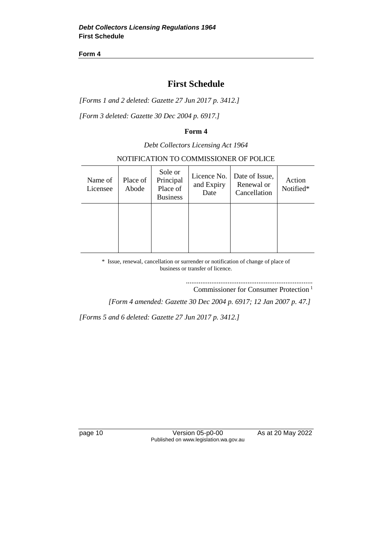**Form 4**

## **First Schedule**

*[Forms 1 and 2 deleted: Gazette 27 Jun 2017 p. 3412.]*

*[Form 3 deleted: Gazette 30 Dec 2004 p. 6917.]*

#### **Form 4**

*Debt Collectors Licensing Act 1964*

#### NOTIFICATION TO COMMISSIONER OF POLICE

| Name of<br>Licensee | Place of<br>Abode | Sole or<br>Principal<br>Place of<br><b>Business</b> | Licence No.<br>and Expiry<br>Date | Date of Issue,<br>Renewal or<br>Cancellation | Action<br>Notified* |
|---------------------|-------------------|-----------------------------------------------------|-----------------------------------|----------------------------------------------|---------------------|
|                     |                   |                                                     |                                   |                                              |                     |

\* Issue, renewal, cancellation or surrender or notification of change of place of business or transfer of licence.

> ...................................................................... Commissioner for Consumer Protection <sup>1</sup>

*[Form 4 amended: Gazette 30 Dec 2004 p. 6917; 12 Jan 2007 p. 47.]*

*[Forms 5 and 6 deleted: Gazette 27 Jun 2017 p. 3412.]*

page 10 Version 05-p0-00 As at 20 May 2022 Published on www.legislation.wa.gov.au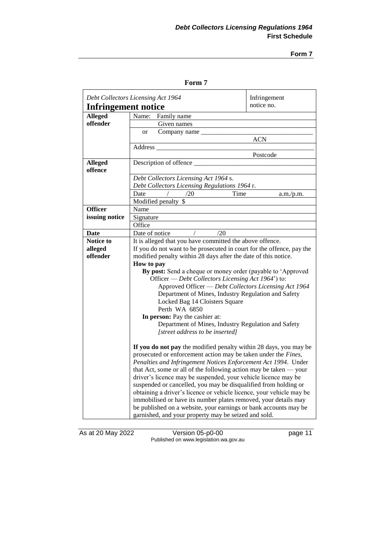**Form 7**

#### **Form 7**

| Debt Collectors Licensing Act 1964 |                                                                       | Infringement      |  |
|------------------------------------|-----------------------------------------------------------------------|-------------------|--|
| <b>Infringement notice</b>         |                                                                       | notice no.        |  |
| Alleged                            | Family name<br>Name:                                                  |                   |  |
| offender                           | Given names                                                           |                   |  |
|                                    | Company name __<br>or                                                 |                   |  |
|                                    |                                                                       | ACN               |  |
|                                    | <b>Address</b>                                                        |                   |  |
|                                    |                                                                       | Postcode          |  |
| <b>Alleged</b>                     | Description of offence                                                |                   |  |
| offence                            |                                                                       |                   |  |
|                                    | Debt Collectors Licensing Act 1964 s.                                 |                   |  |
|                                    | Debt Collectors Licensing Regulations 1964 r.                         |                   |  |
|                                    | /20<br>Date                                                           | Time<br>a.m./p.m. |  |
|                                    | Modified penalty \$                                                   |                   |  |
| <b>Officer</b>                     | Name                                                                  |                   |  |
| issuing notice                     | Signature                                                             |                   |  |
|                                    | Office                                                                |                   |  |
| Date                               | /20<br>Date of notice                                                 |                   |  |
| <b>Notice to</b>                   | It is alleged that you have committed the above offence.              |                   |  |
| alleged                            | If you do not want to be prosecuted in court for the offence, pay the |                   |  |
| offender                           | modified penalty within 28 days after the date of this notice.        |                   |  |
|                                    | How to pay                                                            |                   |  |
|                                    | By post: Send a cheque or money order (payable to 'Approved           |                   |  |
|                                    | Officer — Debt Collectors Licensing Act 1964') to:                    |                   |  |
|                                    | Approved Officer - Debt Collectors Licensing Act 1964                 |                   |  |
|                                    | Department of Mines, Industry Regulation and Safety                   |                   |  |
|                                    | Locked Bag 14 Cloisters Square<br>Perth WA 6850                       |                   |  |
|                                    | In person: Pay the cashier at:                                        |                   |  |
|                                    | Department of Mines, Industry Regulation and Safety                   |                   |  |
|                                    | [street address to be inserted]                                       |                   |  |
|                                    |                                                                       |                   |  |
|                                    | If you do not pay the modified penalty within 28 days, you may be     |                   |  |
|                                    | prosecuted or enforcement action may be taken under the Fines,        |                   |  |
|                                    | Penalties and Infringement Notices Enforcement Act 1994. Under        |                   |  |
|                                    | that Act, some or all of the following action may be taken $-$ your   |                   |  |
|                                    | driver's licence may be suspended, your vehicle licence may be        |                   |  |
|                                    | suspended or cancelled, you may be disqualified from holding or       |                   |  |
|                                    | obtaining a driver's licence or vehicle licence, your vehicle may be  |                   |  |
|                                    | immobilised or have its number plates removed, your details may       |                   |  |
|                                    | be published on a website, your earnings or bank accounts may be      |                   |  |
|                                    | garnished, and your property may be seized and sold.                  |                   |  |

As at 20 May 2022 Version 05-p0-00 page 11 Published on www.legislation.wa.gov.au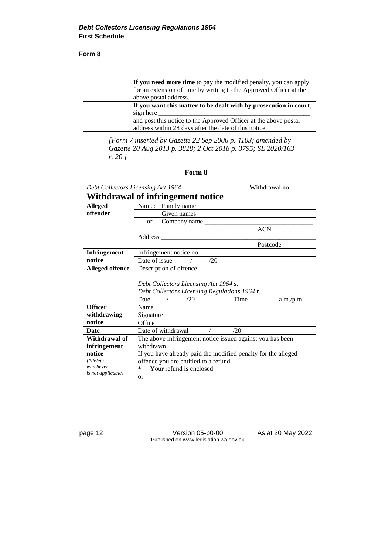#### **Form 8**

| If you need more time to pay the modified penalty, you can apply<br>for an extension of time by writing to the Approved Officer at the<br>above postal address. |
|-----------------------------------------------------------------------------------------------------------------------------------------------------------------|
| If you want this matter to be dealt with by prosecution in court,                                                                                               |
| sign here                                                                                                                                                       |
| and post this notice to the Approved Officer at the above postal                                                                                                |
| address within 28 days after the date of this notice.                                                                                                           |

*[Form 7 inserted by Gazette 22 Sep 2006 p. 4103; amended by Gazette 20 Aug 2013 p. 3828; 2 Oct 2018 p. 3795; SL 2020/163 r. 20.]*

**Form 8**

| Debt Collectors Licensing Act 1964 |                                                                                                                                                                                                                                | Withdrawal no. |  |  |
|------------------------------------|--------------------------------------------------------------------------------------------------------------------------------------------------------------------------------------------------------------------------------|----------------|--|--|
|                                    | Withdrawal of infringement notice                                                                                                                                                                                              |                |  |  |
| <b>Alleged</b>                     | Name: Family name                                                                                                                                                                                                              |                |  |  |
| offender                           | Given names                                                                                                                                                                                                                    |                |  |  |
|                                    | Company name<br><sub>or</sub>                                                                                                                                                                                                  |                |  |  |
|                                    |                                                                                                                                                                                                                                | <b>ACN</b>     |  |  |
|                                    | Address and the state of the state of the state of the state of the state of the state of the state of the state of the state of the state of the state of the state of the state of the state of the state of the state of th |                |  |  |
|                                    |                                                                                                                                                                                                                                | Postcode       |  |  |
| <b>Infringement</b>                | Infringement notice no.                                                                                                                                                                                                        |                |  |  |
| notice                             | Date of issue<br>/20                                                                                                                                                                                                           |                |  |  |
| <b>Alleged offence</b>             |                                                                                                                                                                                                                                |                |  |  |
|                                    |                                                                                                                                                                                                                                |                |  |  |
|                                    | Debt Collectors Licensing Act 1964 s.                                                                                                                                                                                          |                |  |  |
|                                    | Debt Collectors Licensing Regulations 1964 r.                                                                                                                                                                                  |                |  |  |
|                                    | Time<br>Date<br>/20                                                                                                                                                                                                            | a.m./p.m.      |  |  |
| <b>Officer</b>                     | Name                                                                                                                                                                                                                           |                |  |  |
| withdrawing                        | Signature                                                                                                                                                                                                                      |                |  |  |
| notice                             | Office                                                                                                                                                                                                                         |                |  |  |
| <b>Date</b>                        | Date of withdrawal<br>/20                                                                                                                                                                                                      |                |  |  |
| Withdrawal of                      | The above infringement notice issued against you has been                                                                                                                                                                      |                |  |  |
| infringement                       | withdrawn.                                                                                                                                                                                                                     |                |  |  |
| notice                             | If you have already paid the modified penalty for the alleged                                                                                                                                                                  |                |  |  |
| [*delete                           | offence you are entitled to a refund.                                                                                                                                                                                          |                |  |  |
| whichever<br>is not applicable]    | Your refund is enclosed.<br>$\ast$                                                                                                                                                                                             |                |  |  |
|                                    | <sub>or</sub>                                                                                                                                                                                                                  |                |  |  |

page 12 Version 05-p0-00 As at 20 May 2022 Published on www.legislation.wa.gov.au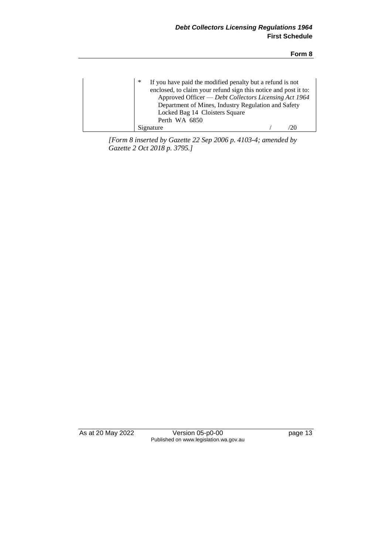| ∗<br>If you have paid the modified penalty but a refund is not<br>enclosed, to claim your refund sign this notice and post it to:<br>Approved Officer — Debt Collectors Licensing Act 1964<br>Department of Mines, Industry Regulation and Safety<br>Locked Bag 14 Cloisters Square<br>Perth WA 6850 |  |
|------------------------------------------------------------------------------------------------------------------------------------------------------------------------------------------------------------------------------------------------------------------------------------------------------|--|
| Signature                                                                                                                                                                                                                                                                                            |  |

*[Form 8 inserted by Gazette 22 Sep 2006 p. 4103-4; amended by Gazette 2 Oct 2018 p. 3795.]*

As at 20 May 2022 Version 05-p0-00 page 13 Published on www.legislation.wa.gov.au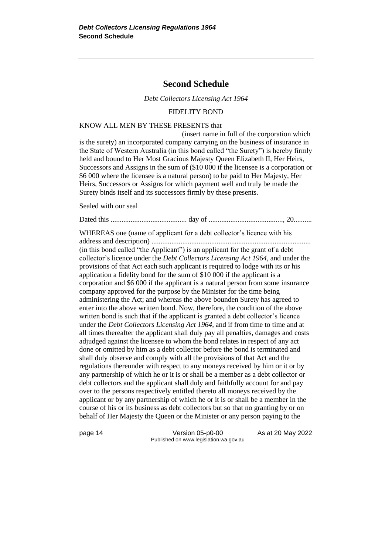## **Second Schedule**

*Debt Collectors Licensing Act 1964*

#### FIDELITY BOND

#### KNOW ALL MEN BY THESE PRESENTS that

(insert name in full of the corporation which is the surety) an incorporated company carrying on the business of insurance in the State of Western Australia (in this bond called "the Surety") is hereby firmly held and bound to Her Most Gracious Majesty Queen Elizabeth II, Her Heirs, Successors and Assigns in the sum of (\$10 000 if the licensee is a corporation or \$6 000 where the licensee is a natural person) to be paid to Her Majesty, Her Heirs, Successors or Assigns for which payment well and truly be made the Surety binds itself and its successors firmly by these presents.

Sealed with our seal

Dated this .......................................... day of ........................................., 20..........

WHEREAS one (name of applicant for a debt collector's licence with his

address and description) ........................................................................................ (in this bond called "the Applicant") is an applicant for the grant of a debt collector's licence under the *Debt Collectors Licensing Act 1964*, and under the provisions of that Act each such applicant is required to lodge with its or his application a fidelity bond for the sum of \$10 000 if the applicant is a corporation and \$6 000 if the applicant is a natural person from some insurance company approved for the purpose by the Minister for the time being administering the Act; and whereas the above bounden Surety has agreed to enter into the above written bond. Now, therefore, the condition of the above written bond is such that if the applicant is granted a debt collector's licence under the *Debt Collectors Licensing Act 1964*, and if from time to time and at all times thereafter the applicant shall duly pay all penalties, damages and costs adjudged against the licensee to whom the bond relates in respect of any act done or omitted by him as a debt collector before the bond is terminated and shall duly observe and comply with all the provisions of that Act and the regulations thereunder with respect to any moneys received by him or it or by any partnership of which he or it is or shall be a member as a debt collector or debt collectors and the applicant shall duly and faithfully account for and pay over to the persons respectively entitled thereto all moneys received by the applicant or by any partnership of which he or it is or shall be a member in the course of his or its business as debt collectors but so that no granting by or on behalf of Her Majesty the Queen or the Minister or any person paying to the

page 14 Version 05-p0-00 As at 20 May 2022 Published on www.legislation.wa.gov.au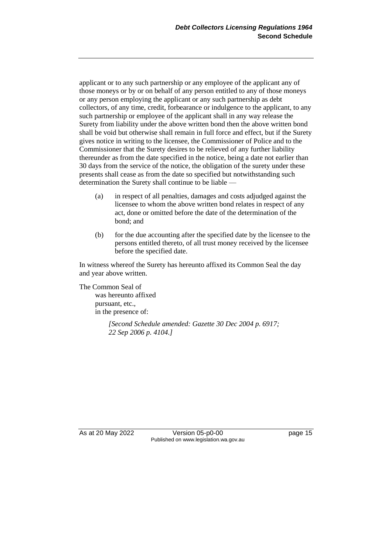applicant or to any such partnership or any employee of the applicant any of those moneys or by or on behalf of any person entitled to any of those moneys or any person employing the applicant or any such partnership as debt collectors, of any time, credit, forbearance or indulgence to the applicant, to any such partnership or employee of the applicant shall in any way release the Surety from liability under the above written bond then the above written bond shall be void but otherwise shall remain in full force and effect, but if the Surety gives notice in writing to the licensee, the Commissioner of Police and to the Commissioner that the Surety desires to be relieved of any further liability thereunder as from the date specified in the notice, being a date not earlier than 30 days from the service of the notice, the obligation of the surety under these presents shall cease as from the date so specified but notwithstanding such determination the Surety shall continue to be liable —

- (a) in respect of all penalties, damages and costs adjudged against the licensee to whom the above written bond relates in respect of any act, done or omitted before the date of the determination of the bond; and
- (b) for the due accounting after the specified date by the licensee to the persons entitled thereto, of all trust money received by the licensee before the specified date.

In witness whereof the Surety has hereunto affixed its Common Seal the day and year above written.

The Common Seal of was hereunto affixed pursuant, etc., in the presence of:

> *[Second Schedule amended: Gazette 30 Dec 2004 p. 6917; 22 Sep 2006 p. 4104.]*

As at 20 May 2022 Version 05-p0-00 Page 15 Published on www.legislation.wa.gov.au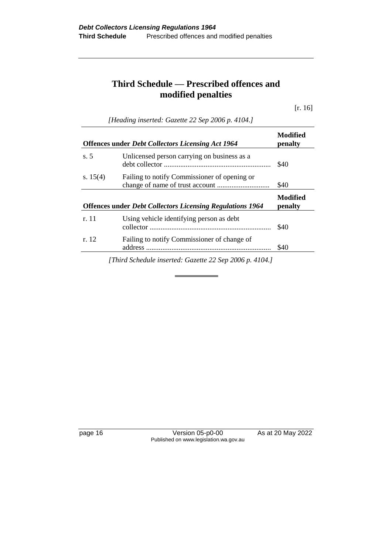# **Third Schedule — Prescribed offences and modified penalties**

[r. 16]

|            | <b>Offences under Debt Collectors Licensing Act 1964</b>         | Modified<br>penalty |
|------------|------------------------------------------------------------------|---------------------|
| s.5        | Unlicensed person carrying on business as a                      | \$40                |
| s. $15(4)$ | Failing to notify Commissioner of opening or                     | \$40                |
|            | <b>Offences under Debt Collectors Licensing Regulations 1964</b> | Modified<br>penalty |
| r. 11      | Using vehicle identifying person as debt                         | \$40                |
| r. 12      | Failing to notify Commissioner of change of                      | \$40                |

*[Heading inserted: Gazette 22 Sep 2006 p. 4104.]*

page 16 Version 05-p0-00 As at 20 May 2022 Published on www.legislation.wa.gov.au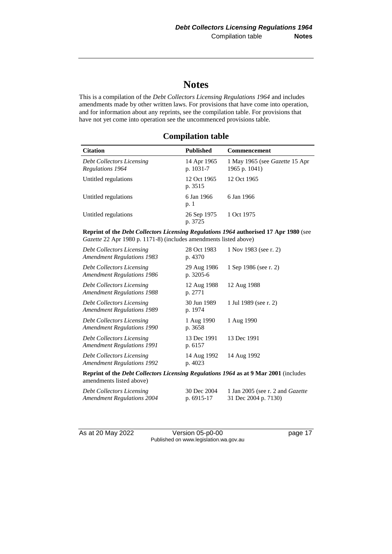# **Notes**

This is a compilation of the *Debt Collectors Licensing Regulations 1964* and includes amendments made by other written laws. For provisions that have come into operation, and for information about any reprints, see the compilation table. For provisions that have not yet come into operation see the uncommenced provisions table.

#### **Compilation table**

| <b>Citation</b>                               | Published                | <b>Commencement</b>                                    |
|-----------------------------------------------|--------------------------|--------------------------------------------------------|
| Debt Collectors Licensing<br>Regulations 1964 | 14 Apr 1965<br>p. 1031-7 | 1 May 1965 (see <i>Gazette</i> 15 Apr<br>1965 p. 1041) |
| Untitled regulations                          | 12 Oct 1965<br>p. 3515   | 12 Oct 1965                                            |
| Untitled regulations                          | 6 Jan 1966<br>p. 1       | 6 Jan 1966                                             |
| Untitled regulations                          | 26 Sep 1975<br>p. 3725   | 1 Oct 1975                                             |

#### **Reprint of the** *Debt Collectors Licensing Regulations 1964* **authorised 17 Apr 1980** (see *Gazette* 22 Apr 1980 p. 1171-8) (includes amendments listed above)

| <b>Debt Collectors Licensing</b><br><b>Amendment Regulations 1983</b> | 28 Oct 1983<br>p. 4370   | 1 Nov 1983 (see r. 2) |
|-----------------------------------------------------------------------|--------------------------|-----------------------|
| <b>Debt Collectors Licensing</b><br><b>Amendment Regulations 1986</b> | 29 Aug 1986<br>p. 3205-6 | 1 Sep 1986 (see r. 2) |
| <b>Debt Collectors Licensing</b><br><b>Amendment Regulations 1988</b> | 12 Aug 1988<br>p. 2771   | 12 Aug 1988           |
| <b>Debt Collectors Licensing</b><br><b>Amendment Regulations 1989</b> | 30 Jun 1989<br>p. 1974   | 1 Jul 1989 (see r. 2) |
| <b>Debt Collectors Licensing</b><br><b>Amendment Regulations 1990</b> | 1 Aug 1990<br>p. 3658    | 1 Aug 1990            |
| <b>Debt Collectors Licensing</b><br><b>Amendment Regulations 1991</b> | 13 Dec 1991<br>p. 6157   | 13 Dec 1991           |
| Debt Collectors Licensing<br><b>Amendment Regulations 1992</b>        | 14 Aug 1992<br>p. 4023   | 14 Aug 1992           |
|                                                                       |                          |                       |

**Reprint of the** *Debt Collectors Licensing Regulations 1964* **as at 9 Mar 2001** (includes amendments listed above)

| Debt Collectors Licensing  | 30 Dec 2004  | 1 Jan 2005 (see r. 2 and <i>Gazette</i> |
|----------------------------|--------------|-----------------------------------------|
| Amendment Regulations 2004 | p. $6915-17$ | 31 Dec 2004 p. 7130)                    |

As at 20 May 2022 Version 05-p0-00 Page 17 Published on www.legislation.wa.gov.au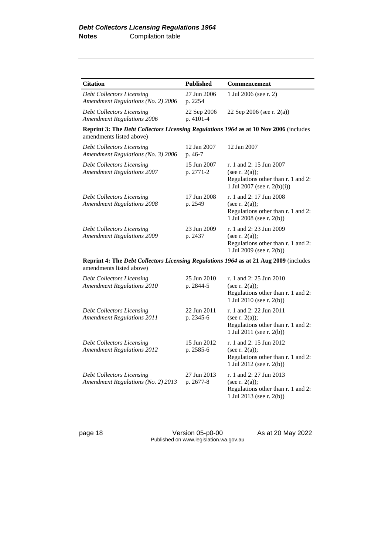| <b>Citation</b>                                                                                                          | <b>Published</b>         | Commencement                                                                                                         |  |
|--------------------------------------------------------------------------------------------------------------------------|--------------------------|----------------------------------------------------------------------------------------------------------------------|--|
| Debt Collectors Licensing<br>Amendment Regulations (No. 2) 2006                                                          | 27 Jun 2006<br>p. 2254   | 1 Jul 2006 (see r. 2)                                                                                                |  |
| <b>Debt Collectors Licensing</b><br><b>Amendment Regulations 2006</b>                                                    | 22 Sep 2006<br>p. 4101-4 | 22 Sep 2006 (see r. 2(a))                                                                                            |  |
| Reprint 3: The Debt Collectors Licensing Regulations 1964 as at 10 Nov 2006 (includes<br>amendments listed above)        |                          |                                                                                                                      |  |
| <b>Debt Collectors Licensing</b><br>Amendment Regulations (No. 3) 2006                                                   | 12 Jan 2007<br>p. 46-7   | 12 Jan 2007                                                                                                          |  |
| <b>Debt Collectors Licensing</b><br><b>Amendment Regulations 2007</b>                                                    | 15 Jun 2007<br>p. 2771-2 | r. 1 and 2: 15 Jun 2007<br>(see r. $2(a)$ );<br>Regulations other than r. 1 and 2:<br>1 Jul 2007 (see r. $2(b)(i)$ ) |  |
| <b>Debt Collectors Licensing</b><br><b>Amendment Regulations 2008</b>                                                    | 17 Jun 2008<br>p. 2549   | r. 1 and 2: 17 Jun 2008<br>(see r. $2(a)$ );<br>Regulations other than r. 1 and 2:<br>1 Jul 2008 (see r. 2(b))       |  |
| <b>Debt Collectors Licensing</b><br><b>Amendment Regulations 2009</b>                                                    | 23 Jun 2009<br>p. 2437   | r. 1 and 2: 23 Jun 2009<br>(see r. $2(a)$ );<br>Regulations other than r. 1 and 2:<br>1 Jul 2009 (see r. 2(b))       |  |
| Reprint 4: The <i>Debt Collectors Licensing Regulations 1964</i> as at 21 Aug 2009 (includes<br>amendments listed above) |                          |                                                                                                                      |  |
| <b>Debt Collectors Licensing</b><br><b>Amendment Regulations 2010</b>                                                    | 25 Jun 2010<br>p. 2844-5 | r. 1 and 2: 25 Jun 2010<br>(see r. $2(a)$ );<br>Regulations other than r. 1 and 2:<br>1 Jul 2010 (see r. 2(b))       |  |
| <b>Debt Collectors Licensing</b><br><b>Amendment Regulations 2011</b>                                                    | 22 Jun 2011<br>p. 2345-6 | r. 1 and 2: 22 Jun 2011<br>(see r. $2(a)$ );<br>Regulations other than r. 1 and 2:<br>1 Jul 2011 (see r. 2(b))       |  |
| <b>Debt Collectors Licensing</b><br><b>Amendment Regulations 2012</b>                                                    | 15 Jun 2012<br>p. 2585-6 | r. 1 and 2: 15 Jun 2012<br>(see r. $2(a)$ );<br>Regulations other than r. 1 and 2:<br>1 Jul 2012 (see r. 2(b))       |  |
| <b>Debt Collectors Licensing</b><br>Amendment Regulations (No. 2) 2013                                                   | 27 Jun 2013<br>p. 2677-8 | r. 1 and 2: 27 Jun 2013<br>(see r. $2(a)$ );<br>Regulations other than r. 1 and 2:<br>1 Jul 2013 (see r. 2(b))       |  |

page 18 Version 05-p0-00 As at 20 May 2022 Published on www.legislation.wa.gov.au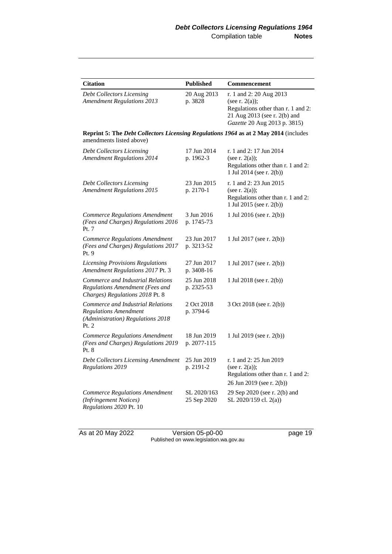| <b>Citation</b>                                                                                                  | <b>Published</b>           | Commencement                                                                                                                                       |  |
|------------------------------------------------------------------------------------------------------------------|----------------------------|----------------------------------------------------------------------------------------------------------------------------------------------------|--|
| <b>Debt Collectors Licensing</b><br><b>Amendment Regulations 2013</b>                                            | 20 Aug 2013<br>p. 3828     | r. 1 and 2: 20 Aug 2013<br>(see r. $2(a)$ );<br>Regulations other than r. 1 and 2:<br>21 Aug 2013 (see r. 2(b) and<br>Gazette 20 Aug 2013 p. 3815) |  |
| Reprint 5: The Debt Collectors Licensing Regulations 1964 as at 2 May 2014 (includes<br>amendments listed above) |                            |                                                                                                                                                    |  |
| <b>Debt Collectors Licensing</b><br><b>Amendment Regulations 2014</b>                                            | 17 Jun 2014<br>p. 1962-3   | r. 1 and 2: 17 Jun 2014<br>(see r. $2(a)$ );<br>Regulations other than r. 1 and 2:<br>1 Jul 2014 (see r. 2(b))                                     |  |
| <b>Debt Collectors Licensing</b><br><b>Amendment Regulations 2015</b>                                            | 23 Jun 2015<br>p. 2170-1   | r. 1 and 2: 23 Jun 2015<br>(see r. $2(a)$ );<br>Regulations other than r. 1 and 2:<br>1 Jul 2015 (see r. 2(b))                                     |  |
| <b>Commerce Regulations Amendment</b><br>(Fees and Charges) Regulations 2016<br>Pt. 7                            | 3 Jun 2016<br>p. 1745-73   | 1 Jul 2016 (see r. 2(b))                                                                                                                           |  |
| <b>Commerce Regulations Amendment</b><br>(Fees and Charges) Regulations 2017<br>Pt. 9                            | 23 Jun 2017<br>p. 3213-52  | 1 Jul 2017 (see r. 2(b))                                                                                                                           |  |
| <b>Licensing Provisions Regulations</b><br>Amendment Regulations 2017 Pt. 3                                      | 27 Jun 2017<br>p. 3408-16  | 1 Jul 2017 (see r. 2(b))                                                                                                                           |  |
| Commerce and Industrial Relations<br>Regulations Amendment (Fees and<br>Charges) Regulations 2018 Pt. 8          | 25 Jun 2018<br>p. 2325-53  | 1 Jul 2018 (see r. 2(b))                                                                                                                           |  |
| Commerce and Industrial Relations<br>Regulations Amendment<br>(Administration) Regulations 2018<br>Pt. 2         | 2 Oct 2018<br>p. 3794-6    | 3 Oct 2018 (see r. 2(b))                                                                                                                           |  |
| <b>Commerce Regulations Amendment</b><br>(Fees and Charges) Regulations 2019<br>Pt. 8                            | 18 Jun 2019<br>p. 2077-115 | 1 Jul 2019 (see r. 2(b))                                                                                                                           |  |
| Debt Collectors Licensing Amendment<br>Regulations 2019                                                          | 25 Jun 2019<br>p. 2191-2   | r. 1 and 2: 25 Jun 2019<br>(see r. $2(a)$ );<br>Regulations other than r. 1 and 2:<br>26 Jun 2019 (see r. 2(b))                                    |  |
| <b>Commerce Regulations Amendment</b><br>(Infringement Notices)<br>Regulations 2020 Pt. 10                       | SL 2020/163<br>25 Sep 2020 | 29 Sep 2020 (see r. 2(b) and<br>SL 2020/159 cl. 2(a))                                                                                              |  |

As at 20 May 2022 Version 05-p0-00 page 19 Published on www.legislation.wa.gov.au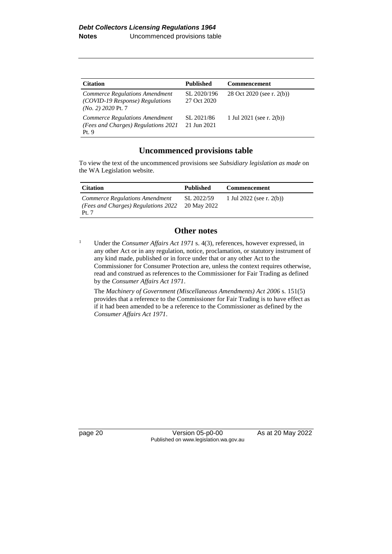| <b>Citation</b>                                                                           | <b>Published</b>           | <b>Commencement</b>         |
|-------------------------------------------------------------------------------------------|----------------------------|-----------------------------|
| Commerce Regulations Amendment<br>(COVID-19 Response) Regulations<br>$(No. 2)$ 2020 Pt. 7 | SL 2020/196<br>27 Oct 2020 | 28 Oct 2020 (see r. 2(b))   |
| Commerce Regulations Amendment<br>(Fees and Charges) Regulations 2021<br>Pt.9             | SL 2021/86<br>21 Jun 2021  | 1 Jul 2021 (see r. $2(b)$ ) |

#### **Uncommenced provisions table**

To view the text of the uncommenced provisions see *Subsidiary legislation as made* on the WA Legislation website.

| <b>Citation</b>                                                               | <b>Published</b>          | <b>Commencement</b>      |
|-------------------------------------------------------------------------------|---------------------------|--------------------------|
| Commerce Regulations Amendment<br>(Fees and Charges) Regulations 2022<br>Pt.7 | SL 2022/59<br>20 May 2022 | 1 Jul 2022 (see r. 2(b)) |

#### **Other notes**

<sup>1</sup> Under the *Consumer Affairs Act 1971* s. 4(3), references, however expressed, in any other Act or in any regulation, notice, proclamation, or statutory instrument of any kind made, published or in force under that or any other Act to the Commissioner for Consumer Protection are, unless the context requires otherwise, read and construed as references to the Commissioner for Fair Trading as defined by the *Consumer Affairs Act 1971*.

The *Machinery of Government (Miscellaneous Amendments) Act 2006* s. 151(5) provides that a reference to the Commissioner for Fair Trading is to have effect as if it had been amended to be a reference to the Commissioner as defined by the *Consumer Affairs Act 1971*.

page 20 Version 05-p0-00 As at 20 May 2022 Published on www.legislation.wa.gov.au